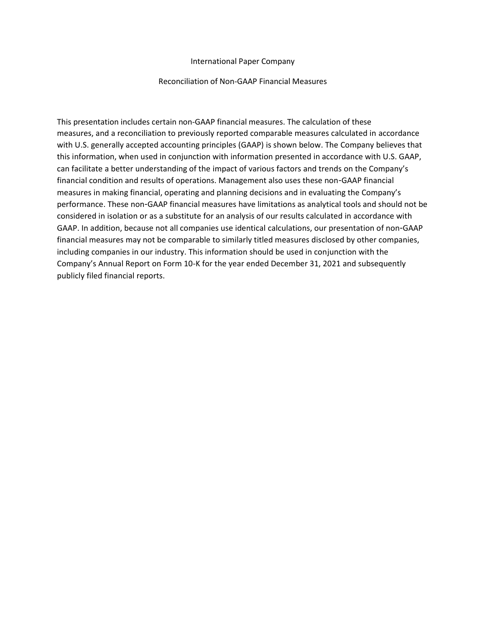# International Paper Company

## Reconciliation of Non-GAAP Financial Measures

This presentation includes certain non-GAAP financial measures. The calculation of these measures, and a reconciliation to previously reported comparable measures calculated in accordance with U.S. generally accepted accounting principles (GAAP) is shown below. The Company believes that this information, when used in conjunction with information presented in accordance with U.S. GAAP, can facilitate a better understanding of the impact of various factors and trends on the Company's financial condition and results of operations. Management also uses these non-GAAP financial measures in making financial, operating and planning decisions and in evaluating the Company's performance. These non-GAAP financial measures have limitations as analytical tools and should not be considered in isolation or as a substitute for an analysis of our results calculated in accordance with GAAP. In addition, because not all companies use identical calculations, our presentation of non-GAAP financial measures may not be comparable to similarly titled measures disclosed by other companies, including companies in our industry. This information should be used in conjunction with the Company's Annual Report on Form 10-K for the year ended December 31, 2021 and subsequently publicly filed financial reports.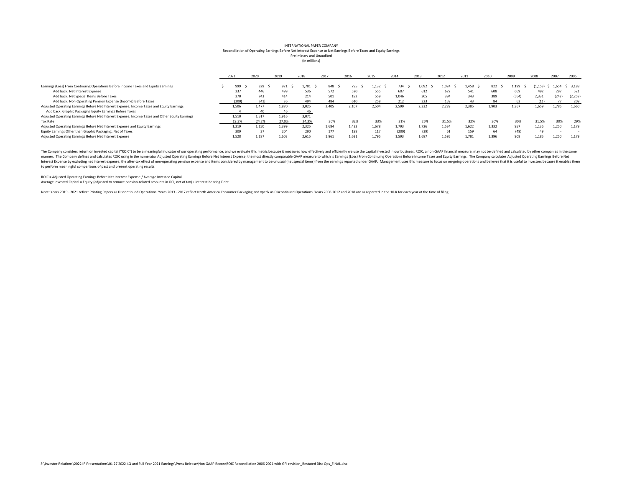#### (In millions) Preliminary and Unaudited Reconciliation of Operating Earnings Before Net Interest Expense to Net Earnings Before Taxes and Equity Earnings INTERNATIONAL PAPER COMPANY

|                                                                                                 | 2021  | 2020  | 2019  | 2018  | 2017  | 2016  | 2015  | 2014  | 2013  | 2012  | 2011  | 2010  | 2009  | 2008    | 2007  | 2006     |
|-------------------------------------------------------------------------------------------------|-------|-------|-------|-------|-------|-------|-------|-------|-------|-------|-------|-------|-------|---------|-------|----------|
|                                                                                                 |       |       |       |       |       |       |       |       |       |       |       |       |       |         |       |          |
| Earnings (Loss) From Continuing Operations Before Income Taxes and Equity Earnings              | 999   |       | 921   | 1.781 | 848   | 795   | 1.132 | 734   |       | 1.024 | 1.458 | 822   | 1.199 | (153. ـ | 1.654 | \$3.188  |
| Add back: Net Interest Expense                                                                  | 337   | 446   | 499   | 536   | 572   | 520   | 555   | 607   | 612   | 672   | 541   | 608   | 669   | 492     | 297   | 521      |
| Add back: Net Special Items Before Taxes                                                        | 370   | 743   | 414   | 214   | 501   | 182   | 559   | 1,046 |       | 384   | 343   | 389   | (564) | 2,331   | (242) | (2, 258) |
| Add back: Non-Operating Pension Expense (Income) Before Taxes                                   | '200) | (41)  | 36    |       | 484   | 610   |       |       |       | 159   | 43    |       |       |         |       | 209      |
| Adjusted Operating Earnings Before Net Interest Expense, Income Taxes and Equity Earnings       | 1,506 | 1.477 | 1.870 | 3,025 | 2.405 | 2,107 | 2,504 | 2,599 | 2,332 | 2,239 | 2,385 | 1,903 | 1,367 | 1,659   | 1,786 | 1,660    |
| Add back: Graphic Packaging Equity Earnings Before Taxes                                        |       | 40    | 46    | 46    |       |       |       |       |       |       |       |       |       |         |       |          |
| Adjusted Operating Earnings Before Net Interest Expense, Income Taxes and Other Equity Earnings | 1.510 | 1.517 | 1.916 | 3,071 |       |       |       |       |       |       |       |       |       |         |       |          |
| <b>Tax Rate</b>                                                                                 | 19.3% | 24.2% | 27.0% | 24.3% | 30%   | 32%   | 33%   | 31%   | 26%   | 31.5% | 32%   | 30%   | 30%   | 31.5%   | 30%   | 29%      |
| Adjusted Operating Earnings Before Net Interest Expense and Equity Earnings                     | 1.219 | 1.150 | 1.399 | 2.325 | 1.684 | 1.433 | 1.678 | 1.793 | 1.726 | 1.534 | 1.622 | 1.332 | 957   | 1.136   | 1.250 | 1.179    |
| Equity Earnings Other than Graphic Packaging, Net of Taxes                                      | 309   |       | 204   |       | 177   | 198   | 117   | (200) |       | 61    | 159   |       | (49)  | 49      |       |          |
| Adjusted Operating Earnings Before Net Interest Expense                                         | 1.528 | 1.187 | 1.603 | 2.615 | 1.861 | 1.631 | 1.795 | 1.593 | 1.687 | 1,595 | 1.781 | 1,396 | 908   | 1.185   | 1.250 | 1,179    |

The Company considers return on invested capital ("ROIC") to be a meaningful indicator of our operating performance, and we evaluate this metric because it measures how effectively and efficiently we use the capital invest manner. The Company defines and calculates ROIC using in the numerator Adjusted Operating Earnings Before Net Interest Expense, the most directly comparable GAAP measure to which is Earnings (Loss) From Continuing Operatio Interest Expense by excluding net interest expense, the after-tax effect of non-operating pension expense and items considered by management to be unusual (net special items) from the earnings reported under GAAP. Manageme to perform meaningful comparisons of past and present operating results.

ROIC = Adjusted Operating Earnings Before Net Interest Expense / Average Invested Capital

Average Invested Capital = Equity (adjusted to remove pension-related amounts in OCI, net of tax) + interest-bearing Debt

Note: Years 2019 - 2021 reflect Printing Papers as Discontinued Operations. Years 2013 - 2017 reflect North America Consumer Packaging and xpedx as Discontinued Operations. Years 2006-2012 and 2018 are as reported in the 1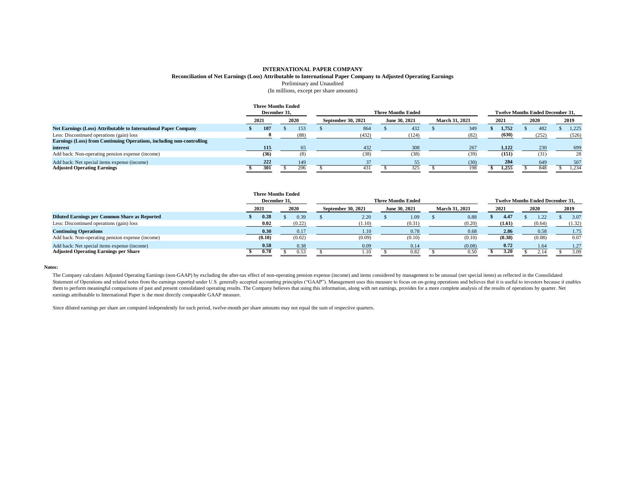#### **INTERNATIONAL PAPER COMPANY Reconciliation of Net Earnings (Loss) Attributable to International Paper Company to Adjusted Operating Earnings** Preliminary and Unaudited (In millions, except per share amounts)

|                                                                       | <b>Three Months Ended</b><br>December 31, |      |                    |       | <b>Three Months Ended</b> |                       |       | <b>Twelve Months Ended December 31.</b> |       |
|-----------------------------------------------------------------------|-------------------------------------------|------|--------------------|-------|---------------------------|-----------------------|-------|-----------------------------------------|-------|
|                                                                       | 2021                                      | 2020 | September 30, 2021 |       | June 30, 2021             | <b>March 31, 2021</b> | 2021  | 2020                                    | 2019  |
| Net Earnings (Loss) Attributable to International Paper Company       | 107                                       | 153  |                    | 864   | 432                       | 349                   | 1.752 | 482                                     | 1,225 |
| Less: Discontinued operations (gain) loss                             |                                           | (88) |                    | (432) | (124)                     | (82)                  | (630) | (252)                                   | (526) |
| Earnings (Loss) from Continuing Operations, including non-controlling |                                           |      |                    |       |                           |                       |       |                                         |       |
| interest                                                              | 115                                       | 65   |                    | 432   | 308                       | 267                   | 1,122 | 230                                     | 699   |
| Add back: Non-operating pension expense (income)                      | (36)                                      | (8)  |                    | (38)  | (38)                      | (39)                  | (151) | (31)                                    | 28    |
| Add back: Net special items expense (income)                          | 222                                       | 149  |                    | 37    | 55                        | (30)                  | 284   | 649                                     | 507   |
| <b>Adjusted Operating Earnings</b>                                    | 301                                       | 206  |                    | 431   | 325                       | 198                   | 1.255 | 848                                     | 1.234 |

|                                                      |              | <b>Three Months Ended</b> |                           |                                         |                       |        |        |        |
|------------------------------------------------------|--------------|---------------------------|---------------------------|-----------------------------------------|-----------------------|--------|--------|--------|
|                                                      | December 31, |                           | <b>Three Months Ended</b> | <b>Twelve Months Ended December 31.</b> |                       |        |        |        |
|                                                      | 2021         | 2020                      | September 30, 2021        | June 30, 2021                           | <b>March 31, 2021</b> | 2021   | 2020   | 2019   |
| <b>Diluted Earnings per Common Share as Reported</b> | 0.28         | 0.39                      | 2.20                      | 1.09                                    | 0.88                  | 4.47   | .22    | 3.07   |
| Less: Discontinued operations (gain) loss            | 0.02         | (0.22)                    | (1.10)                    | (0.31)                                  | (0.20)                | (1.61) | (0.64) | (1.32) |
| <b>Continuing Operations</b>                         | 0.30         | 0.17                      | 1.10                      | 0.78                                    | 0.68                  | 2.86   | 0.58   | 1.75   |
| Add back: Non-operating pension expense (income)     | (0.10)       | (0.02)                    | (0.09)                    | (0.10)                                  | (0.10)                | (0.38) | (0.08) | 0.07   |
| Add back: Net special items expense (income)         | 0.58         | 0.38                      | 0.09                      | 0.14                                    | (0.08)                | 0.72   | 1.64   | 1.27   |
| <b>Adjusted Operating Earnings per Share</b>         | 0.78         | 0.53                      | 1.10                      | 0.82                                    | 0.50                  | 3.20   |        | 3.09   |

#### **Notes:**

The Company calculates Adjusted Operating Earnings (non-GAAP) by excluding the after-tax effect of non-operating pension expense (income) and items considered by management to be unusual (net special items) as reflected in Statement of Operations and related notes from the earnings reported under U.S. generally accepted accounting principles ("GAAP"). Management uses this measure to focus on on-going operations and believes that it is useful them to perform meaningful comparisons of past and present consolidated operating results. The Company believes that using this information, along with net earnings, provides for a more complete analysis of the results of earnings attributable to International Paper is the most directly comparable GAAP measure.

Since diluted earnings per share are computed independently for each period, twelve-month per share amounts may not equal the sum of respective quarters.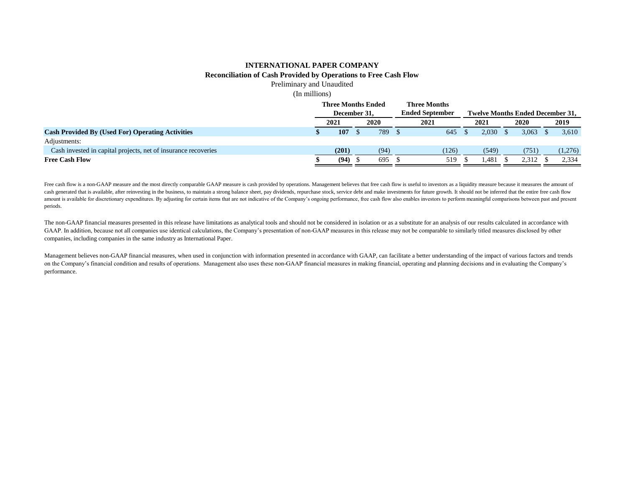# **INTERNATIONAL PAPER COMPANY Reconciliation of Cash Provided by Operations to Free Cash Flow**

Preliminary and Unaudited

(In millions)

|                                                                | <b>Three Months Ended</b> |  | <b>Three Months</b>    |  |       |                                         |       |  |       |  |         |
|----------------------------------------------------------------|---------------------------|--|------------------------|--|-------|-----------------------------------------|-------|--|-------|--|---------|
|                                                                | December 31.              |  | <b>Ended September</b> |  |       | <b>Twelve Months Ended December 31.</b> |       |  |       |  |         |
|                                                                | 2021                      |  | 2020                   |  | 2021  |                                         | 2021  |  | 2020  |  | 2019    |
| <b>Cash Provided By (Used For) Operating Activities</b>        | 107                       |  | 789                    |  | 645   |                                         | 2.030 |  | 3.063 |  | 3,610   |
| Adjustments:                                                   |                           |  |                        |  |       |                                         |       |  |       |  |         |
| Cash invested in capital projects, net of insurance recoveries | (201)                     |  | (94)                   |  | (126) |                                         | (549) |  | (751) |  | (1,276) |
| <b>Free Cash Flow</b>                                          | (94)                      |  | 695                    |  | 519   |                                         | 1.481 |  | 2.312 |  | 2.334   |

Free cash flow is a non-GAAP measure and the most directly comparable GAAP measure is cash provided by operations. Management believes that free cash flow is useful to investors as a liquidity measure because it measures t cash generated that is available, after reinvesting in the business, to maintain a strong balance sheet, pay dividends, repurchase stock, service debt and make investments for future growth. It should not be inferred that amount is available for discretionary expenditures. By adjusting for certain items that are not indicative of the Company's ongoing performance, free cash flow also enables investors to perform meaningful comparisons betwe periods.

The non-GAAP financial measures presented in this release have limitations as analytical tools and should not be considered in isolation or as a substitute for an analysis of our results calculated in accordance with GAAP. In addition, because not all companies use identical calculations, the Company's presentation of non-GAAP measures in this release may not be comparable to similarly titled measures disclosed by other companies, including companies in the same industry as International Paper.

Management believes non-GAAP financial measures, when used in conjunction with information presented in accordance with GAAP, can facilitate a better understanding of the impact of various factors and trends on the Company's financial condition and results of operations. Management also uses these non-GAAP financial measures in making financial, operating and planning decisions and in evaluating the Company's performance.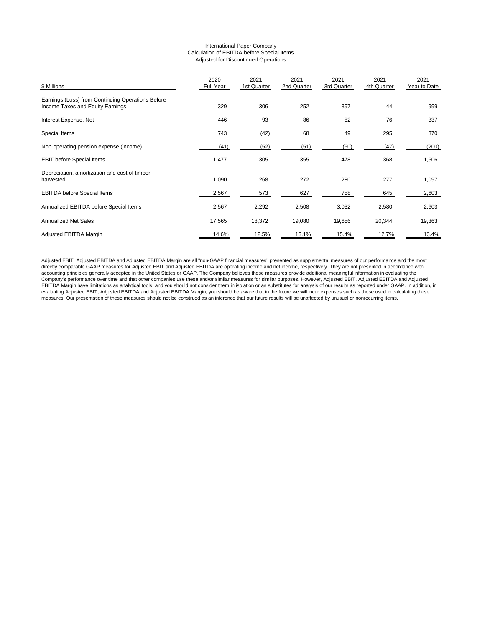#### International Paper Company Calculation of EBITDA before Special Items Adjusted for Discontinued Operations

| \$ Millions                                                                           | 2020<br>Full Year | 2021<br>1st Quarter | 2021<br>2nd Quarter | 2021<br>3rd Quarter | 2021<br>4th Quarter | 2021<br>Year to Date |
|---------------------------------------------------------------------------------------|-------------------|---------------------|---------------------|---------------------|---------------------|----------------------|
| Earnings (Loss) from Continuing Operations Before<br>Income Taxes and Equity Earnings | 329               | 306                 | 252                 | 397                 | 44                  | 999                  |
| Interest Expense, Net                                                                 | 446               | 93                  | 86                  | 82                  | 76                  | 337                  |
| Special Items                                                                         | 743               | (42)                | 68                  | 49                  | 295                 | 370                  |
| Non-operating pension expense (income)                                                | (41)              | (52)                | (51)                | (50)                | (47)                | (200)                |
| <b>EBIT before Special Items</b>                                                      | 1,477             | 305                 | 355                 | 478                 | 368                 | 1,506                |
| Depreciation, amortization and cost of timber<br>harvested                            | 1,090             | 268                 | 272                 | 280                 | 277                 | 1,097                |
| <b>EBITDA</b> before Special Items                                                    | 2,567             | 573                 | 627                 | 758                 | 645                 | 2,603                |
| Annualized EBITDA before Special Items                                                | 2,567             | 2,292               | 2,508               | 3,032               | 2,580               | 2,603                |
| <b>Annualized Net Sales</b>                                                           | 17,565            | 18,372              | 19,080              | 19,656              | 20,344              | 19,363               |
| Adjusted EBITDA Margin                                                                | 14.6%             | 12.5%               | 13.1%               | 15.4%               | 12.7%               | 13.4%                |

Adjusted EBIT, Adjusted EBITDA and Adjusted EBITDA Margin are all "non-GAAP financial measures" presented as supplemental measures of our performance and the most<br>directly comparable GAAP measures for Adjusted EBITDA Margi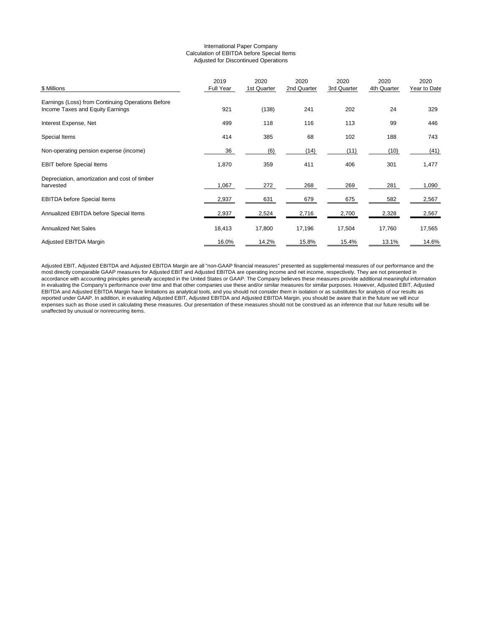#### International Paper Company Calculation of EBITDA before Special Items Adjusted for Discontinued Operations

| \$ Millions                                                                           | 2019<br>Full Year | 2020<br>1st Quarter | 2020<br>2nd Quarter | 2020<br>3rd Quarter | 2020<br>4th Quarter | 2020<br>Year to Date |
|---------------------------------------------------------------------------------------|-------------------|---------------------|---------------------|---------------------|---------------------|----------------------|
| Earnings (Loss) from Continuing Operations Before<br>Income Taxes and Equity Earnings | 921               | (138)               | 241                 | 202                 | 24                  | 329                  |
| Interest Expense, Net                                                                 | 499               | 118                 | 116                 | 113                 | 99                  | 446                  |
| Special Items                                                                         | 414               | 385                 | 68                  | 102                 | 188                 | 743                  |
| Non-operating pension expense (income)                                                | 36                | (6)                 | (14)                | (11)                | (10)                | (41)                 |
| <b>EBIT before Special Items</b>                                                      | 1,870             | 359                 | 411                 | 406                 | 301                 | 1,477                |
| Depreciation, amortization and cost of timber<br>harvested                            | 1,067             | 272                 | 268                 | 269                 | 281                 | 1,090                |
| <b>EBITDA before Special Items</b>                                                    | 2,937             | 631                 | 679                 | 675                 | 582                 | 2,567                |
| Annualized EBITDA before Special Items                                                | 2,937             | 2,524               | 2,716               | 2,700               | 2,328               | 2,567                |
| <b>Annualized Net Sales</b>                                                           | 18,413            | 17,800              | 17,196              | 17,504              | 17,760              | 17,565               |
| Adjusted EBITDA Margin                                                                | 16.0%             | 14.2%               | 15.8%               | 15.4%               | 13.1%               | 14.6%                |

Adjusted EBIT, Adjusted EBITDA and Adjusted EBITDA Margin are all "non-GAAP financial measures" presented as supplemental measures of our performance and the most directly comparable GAAP measures for Adjusted EBIT and Adjusted EBITDA are operating income and net income, respectively. They are not presented in accordance with accounting principles generally accepted in the United States or GAAP. The Company believes these measures provide additional meaningful information in evaluating the Company's performance over time and that other companies use these and/or similar measures for similar purposes. However, Adjusted EBIT, Adjusted EBITDA and Adjusted EBITDA Margin have limitations as analytical tools, and you should not consider them in isolation or as substitutes for analysis of our results as reported under GAAP. In addition, in evaluating Adjusted EBIT, Adjusted EBITDA and Adjusted EBITDA Margin, you should be aware that in the future we will incur expenses such as those used in calculating these measures. Our presentation of these measures should not be construed as an inference that our future results will be unaffected by unusual or nonrecurring items.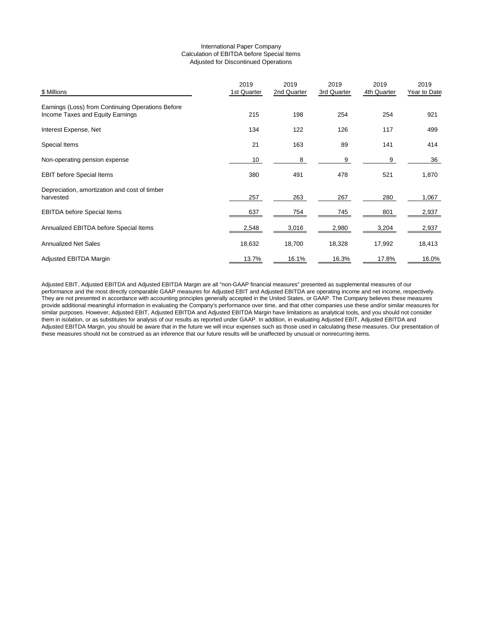### International Paper Company Calculation of EBITDA before Special Items Adjusted for Discontinued Operations

| \$ Millions                                                                           | 2019<br>1st Quarter | 2019<br>2nd Quarter | 2019<br>3rd Quarter | 2019<br>4th Quarter | 2019<br>Year to Date |
|---------------------------------------------------------------------------------------|---------------------|---------------------|---------------------|---------------------|----------------------|
| Earnings (Loss) from Continuing Operations Before<br>Income Taxes and Equity Earnings | 215                 | 198                 | 254                 | 254                 | 921                  |
| Interest Expense, Net                                                                 | 134                 | 122                 | 126                 | 117                 | 499                  |
| Special Items                                                                         | 21                  | 163                 | 89                  | 141                 | 414                  |
| Non-operating pension expense                                                         | 10                  | 8                   | 9                   | 9                   | 36                   |
| <b>EBIT before Special Items</b>                                                      | 380                 | 491                 | 478                 | 521                 | 1,870                |
| Depreciation, amortization and cost of timber<br>harvested                            | 257                 | 263                 | 267                 | 280                 | 1,067                |
| <b>EBITDA before Special Items</b>                                                    | 637                 | 754                 | 745                 | 801                 | 2,937                |
| Annualized EBITDA before Special Items                                                | 2,548               | 3,016               | 2,980               | 3,204               | 2,937                |
| <b>Annualized Net Sales</b>                                                           | 18,632              | 18,700              | 18,328              | 17,992              | 18,413               |
| Adjusted EBITDA Margin                                                                | 13.7%               | 16.1%               | 16.3%               | 17.8%               | 16.0%                |

Adjusted EBIT, Adjusted EBITDA and Adjusted EBITDA Margin are all "non-GAAP financial measures" presented as supplemental measures of our performance and the most directly comparable GAAP measures for Adjusted EBIT and Adjusted EBITDA are operating income and net income, respectively. They are not presented in accordance with accounting principles generally accepted in the United States, or GAAP. The Company believes these measures provide additional meaningful information in evaluating the Company's performance over time, and that other companies use these and/or similar measures for similar purposes. However, Adjusted EBIT, Adjusted EBITDA and Adjusted EBITDA Margin have limitations as analytical tools, and you should not consider them in isolation, or as substitutes for analysis of our results as reported under GAAP. In addition, in evaluating Adjusted EBIT, Adjusted EBITDA and Adjusted EBITDA Margin, you should be aware that in the future we will incur expenses such as those used in calculating these measures. Our presentation of these measures should not be construed as an inference that our future results will be unaffected by unusual or nonrecurring items.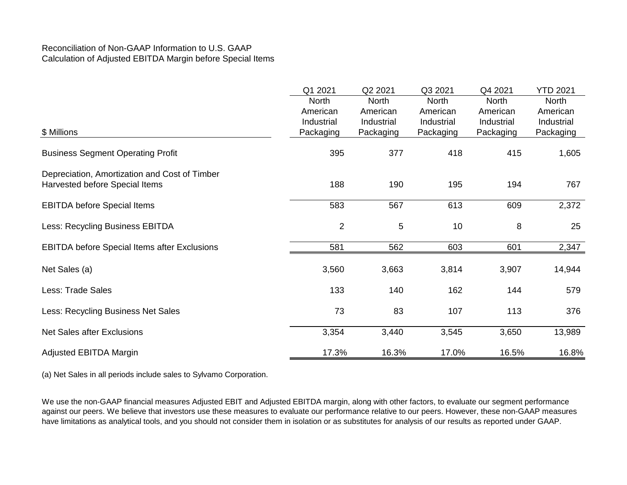# Reconciliation of Non-GAAP Information to U.S. GAAP Calculation of Adjusted EBITDA Margin before Special Items

|                                                                                 | Q1 2021                                             | Q2 2021                                             | Q3 2021                                      | Q4 2021                                             | <b>YTD 2021</b>                              |
|---------------------------------------------------------------------------------|-----------------------------------------------------|-----------------------------------------------------|----------------------------------------------|-----------------------------------------------------|----------------------------------------------|
| \$ Millions                                                                     | <b>North</b><br>American<br>Industrial<br>Packaging | <b>North</b><br>American<br>Industrial<br>Packaging | North<br>American<br>Industrial<br>Packaging | <b>North</b><br>American<br>Industrial<br>Packaging | North<br>American<br>Industrial<br>Packaging |
|                                                                                 |                                                     |                                                     |                                              |                                                     |                                              |
| <b>Business Segment Operating Profit</b>                                        | 395                                                 | 377                                                 | 418                                          | 415                                                 | 1,605                                        |
| Depreciation, Amortization and Cost of Timber<br>Harvested before Special Items | 188                                                 | 190                                                 | 195                                          | 194                                                 | 767                                          |
| <b>EBITDA before Special Items</b>                                              | 583                                                 | 567                                                 | 613                                          | 609                                                 | 2,372                                        |
| Less: Recycling Business EBITDA                                                 | $\overline{2}$                                      | 5                                                   | 10                                           | 8                                                   | 25                                           |
| <b>EBITDA before Special Items after Exclusions</b>                             | 581                                                 | 562                                                 | 603                                          | 601                                                 | 2,347                                        |
| Net Sales (a)                                                                   | 3,560                                               | 3,663                                               | 3,814                                        | 3,907                                               | 14,944                                       |
| <b>Less: Trade Sales</b>                                                        | 133                                                 | 140                                                 | 162                                          | 144                                                 | 579                                          |
| Less: Recycling Business Net Sales                                              | 73                                                  | 83                                                  | 107                                          | 113                                                 | 376                                          |
| <b>Net Sales after Exclusions</b>                                               | 3,354                                               | 3,440                                               | 3,545                                        | 3,650                                               | 13,989                                       |
| Adjusted EBITDA Margin                                                          | 17.3%                                               | 16.3%                                               | 17.0%                                        | 16.5%                                               | 16.8%                                        |

(a) Net Sales in all periods include sales to Sylvamo Corporation.

We use the non-GAAP financial measures Adjusted EBIT and Adjusted EBITDA margin, along with other factors, to evaluate our segment performance against our peers. We believe that investors use these measures to evaluate our performance relative to our peers. However, these non-GAAP measures have limitations as analytical tools, and you should not consider them in isolation or as substitutes for analysis of our results as reported under GAAP.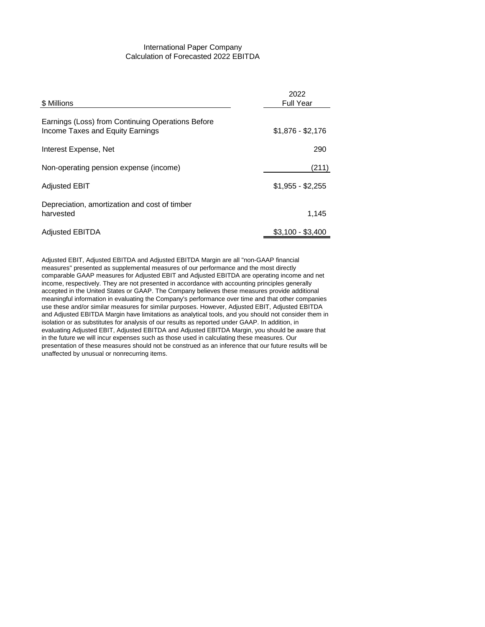# International Paper Company Calculation of Forecasted 2022 EBITDA

| \$ Millions                                                                           | 2022<br><b>Full Year</b> |
|---------------------------------------------------------------------------------------|--------------------------|
| Earnings (Loss) from Continuing Operations Before<br>Income Taxes and Equity Earnings | $$1,876 - $2,176$        |
| Interest Expense, Net                                                                 | 290                      |
| Non-operating pension expense (income)                                                | (211)                    |
| <b>Adjusted EBIT</b>                                                                  | $$1,955 - $2,255$        |
| Depreciation, amortization and cost of timber<br>harvested                            | 1.145                    |
| <b>Adjusted EBITDA</b>                                                                | $$3.100 - $3.400$        |

Adjusted EBIT, Adjusted EBITDA and Adjusted EBITDA Margin are all "non-GAAP financial measures" presented as supplemental measures of our performance and the most directly comparable GAAP measures for Adjusted EBIT and Adjusted EBITDA are operating income and net income, respectively. They are not presented in accordance with accounting principles generally accepted in the United States or GAAP. The Company believes these measures provide additional meaningful information in evaluating the Company's performance over time and that other companies use these and/or similar measures for similar purposes. However, Adjusted EBIT, Adjusted EBITDA and Adjusted EBITDA Margin have limitations as analytical tools, and you should not consider them in isolation or as substitutes for analysis of our results as reported under GAAP. In addition, in evaluating Adjusted EBIT, Adjusted EBITDA and Adjusted EBITDA Margin, you should be aware that in the future we will incur expenses such as those used in calculating these measures. Our presentation of these measures should not be construed as an inference that our future results will be unaffected by unusual or nonrecurring items.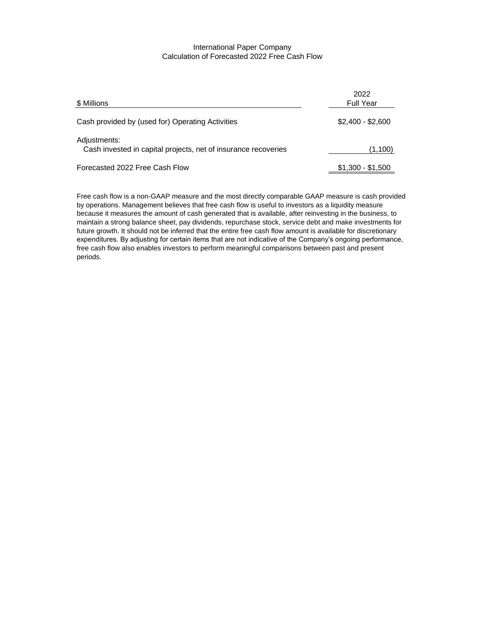## International Paper Company Calculation of Forecasted 2022 Free Cash Flow

| \$ Millions                                                                    | 2022<br><b>Full Year</b> |
|--------------------------------------------------------------------------------|--------------------------|
| Cash provided by (used for) Operating Activities                               | $$2.400 - $2.600$        |
| Adjustments:<br>Cash invested in capital projects, net of insurance recoveries | (1,100)                  |
| Forecasted 2022 Free Cash Flow                                                 | $$1,300 - $1,500$        |

Free cash flow is a non-GAAP measure and the most directly comparable GAAP measure is cash provided by operations. Management believes that free cash flow is useful to investors as a liquidity measure because it measures the amount of cash generated that is available, after reinvesting in the business, to maintain a strong balance sheet, pay dividends, repurchase stock, service debt and make investments for future growth. It should not be inferred that the entire free cash flow amount is available for discretionary expenditures. By adjusting for certain items that are not indicative of the Company's ongoing performance, free cash flow also enables investors to perform meaningful comparisons between past and present periods.